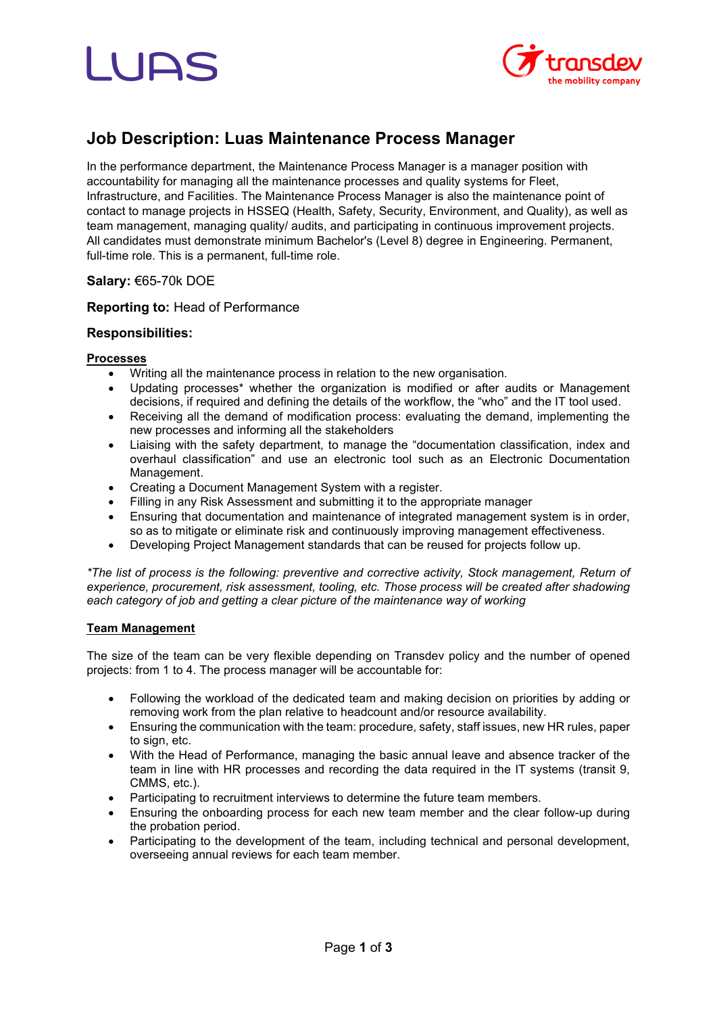# LIDS



## **Job Description: Luas Maintenance Process Manager**

In the performance department, the Maintenance Process Manager is a manager position with accountability for managing all the maintenance processes and quality systems for Fleet, Infrastructure, and Facilities. The Maintenance Process Manager is also the maintenance point of contact to manage projects in HSSEQ (Health, Safety, Security, Environment, and Quality), as well as team management, managing quality/ audits, and participating in continuous improvement projects. All candidates must demonstrate minimum Bachelor's (Level 8) degree in Engineering. Permanent, full-time role. This is a permanent, full-time role.

## **Salary:** €65-70k DOE

#### **Reporting to:** Head of Performance

#### **Responsibilities:**

#### **Processes**

- Writing all the maintenance process in relation to the new organisation.
- Updating processes<sup>\*</sup> whether the organization is modified or after audits or Management decisions, if required and defining the details of the workflow, the "who" and the IT tool used.
- Receiving all the demand of modification process: evaluating the demand, implementing the new processes and informing all the stakeholders
- Liaising with the safety department, to manage the "documentation classification, index and overhaul classification" and use an electronic tool such as an Electronic Documentation Management.
- Creating a Document Management System with a register.
- Filling in any Risk Assessment and submitting it to the appropriate manager
- Ensuring that documentation and maintenance of integrated management system is in order, so as to mitigate or eliminate risk and continuously improving management effectiveness.
- Developing Project Management standards that can be reused for projects follow up.

*\*The list of process is the following: preventive and corrective activity, Stock management, Return of experience, procurement, risk assessment, tooling, etc. Those process will be created after shadowing each category of job and getting a clear picture of the maintenance way of working*

#### **Team Management**

The size of the team can be very flexible depending on Transdev policy and the number of opened projects: from 1 to 4. The process manager will be accountable for:

- Following the workload of the dedicated team and making decision on priorities by adding or removing work from the plan relative to headcount and/or resource availability.
- Ensuring the communication with the team: procedure, safety, staff issues, new HR rules, paper to sign, etc.
- With the Head of Performance, managing the basic annual leave and absence tracker of the team in line with HR processes and recording the data required in the IT systems (transit 9, CMMS, etc.).
- Participating to recruitment interviews to determine the future team members.
- Ensuring the onboarding process for each new team member and the clear follow-up during the probation period.
- Participating to the development of the team, including technical and personal development, overseeing annual reviews for each team member.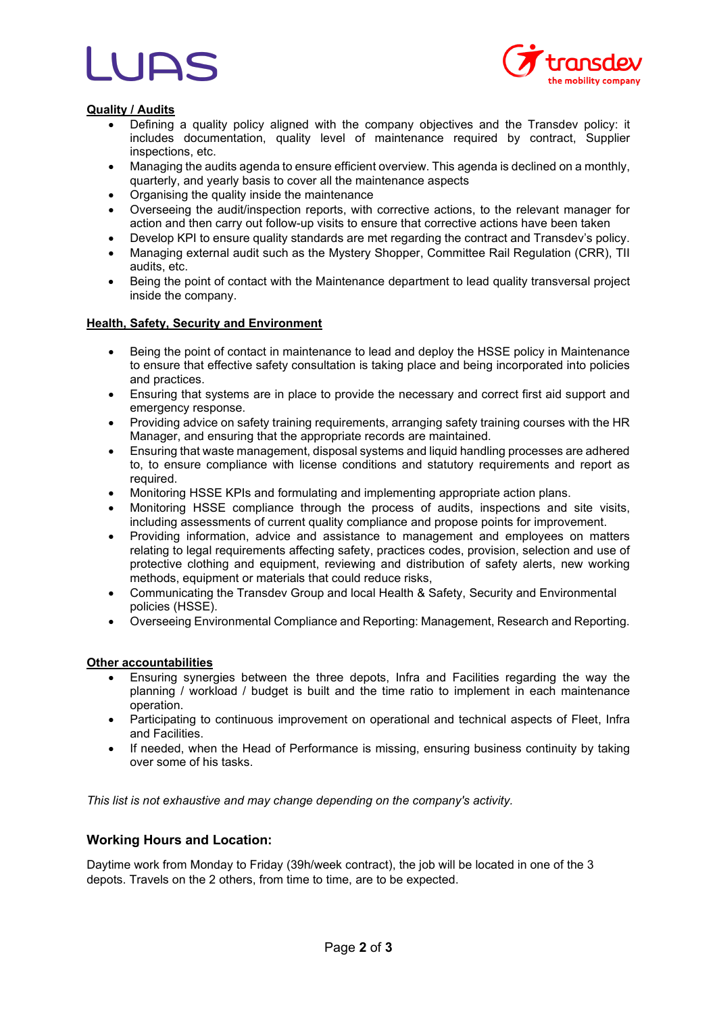

#### **Quality / Audits**

- Defining a quality policy aligned with the company objectives and the Transdev policy: it includes documentation, quality level of maintenance required by contract, Supplier inspections, etc.
- Managing the audits agenda to ensure efficient overview. This agenda is declined on a monthly, quarterly, and yearly basis to cover all the maintenance aspects
- Organising the quality inside the maintenance
- Overseeing the audit/inspection reports, with corrective actions, to the relevant manager for action and then carry out follow-up visits to ensure that corrective actions have been taken
- Develop KPI to ensure quality standards are met regarding the contract and Transdev's policy.
- Managing external audit such as the Mystery Shopper, Committee Rail Regulation (CRR), TII audits, etc.
- Being the point of contact with the Maintenance department to lead quality transversal project inside the company.

#### **Health, Safety, Security and Environment**

- Being the point of contact in maintenance to lead and deploy the HSSE policy in Maintenance to ensure that effective safety consultation is taking place and being incorporated into policies and practices.
- Ensuring that systems are in place to provide the necessary and correct first aid support and emergency response.
- Providing advice on safety training requirements, arranging safety training courses with the HR Manager, and ensuring that the appropriate records are maintained.
- Ensuring that waste management, disposal systems and liquid handling processes are adhered to, to ensure compliance with license conditions and statutory requirements and report as required.
- Monitoring HSSE KPIs and formulating and implementing appropriate action plans.
- Monitoring HSSE compliance through the process of audits, inspections and site visits, including assessments of current quality compliance and propose points for improvement.
- Providing information, advice and assistance to management and employees on matters relating to legal requirements affecting safety, practices codes, provision, selection and use of protective clothing and equipment, reviewing and distribution of safety alerts, new working methods, equipment or materials that could reduce risks,
- Communicating the Transdev Group and local Health & Safety, Security and Environmental policies (HSSE).
- Overseeing Environmental Compliance and Reporting: Management, Research and Reporting.

#### **Other accountabilities**

- Ensuring synergies between the three depots, Infra and Facilities regarding the way the planning / workload / budget is built and the time ratio to implement in each maintenance operation.
- Participating to continuous improvement on operational and technical aspects of Fleet, Infra and Facilities.
- If needed, when the Head of Performance is missing, ensuring business continuity by taking over some of his tasks.

*This list is not exhaustive and may change depending on the company's activity.*

#### **Working Hours and Location:**

Daytime work from Monday to Friday (39h/week contract), the job will be located in one of the 3 depots. Travels on the 2 others, from time to time, are to be expected.